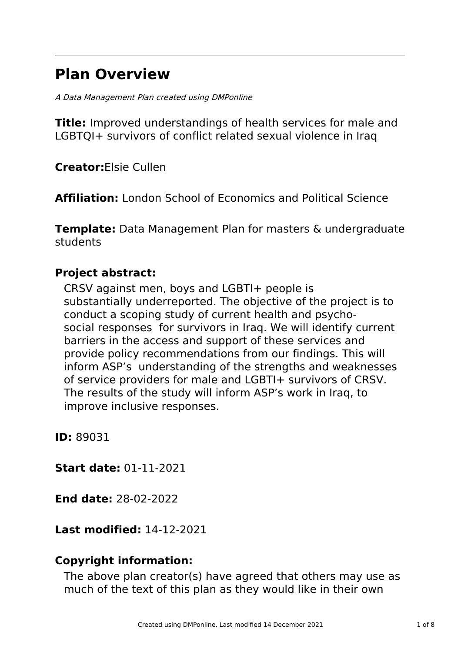# **Plan Overview**

A Data Management Plan created using DMPonline

**Title:** Improved understandings of health services for male and LGBTQI+ survivors of conflict related sexual violence in Iraq

**Creator:**Elsie Cullen

**Affiliation:** London School of Economics and Political Science

**Template:** Data Management Plan for masters & undergraduate students

# **Project abstract:**

CRSV against men, boys and LGBTI+ people is substantially underreported. The objective of the project is to conduct a scoping study of current health and psychosocial responses for survivors in Iraq. We will identify current barriers in the access and support of these services and provide policy recommendations from our findings. This will inform ASP's understanding of the strengths and weaknesses of service providers for male and LGBTI+ survivors of CRSV. The results of the study will inform ASP's work in Iraq, to improve inclusive responses.

**ID:** 89031

**Start date:** 01-11-2021

**End date:** 28-02-2022

# **Last modified:** 14-12-2021

# **Copyright information:**

The above plan creator(s) have agreed that others may use as much of the text of this plan as they would like in their own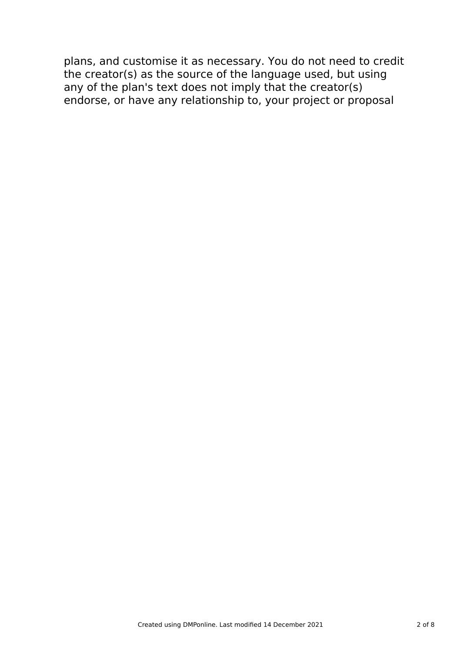plans, and customise it as necessary. You do not need to credit the creator(s) as the source of the language used, but using any of the plan's text does not imply that the creator(s) endorse, or have any relationship to, your project or proposal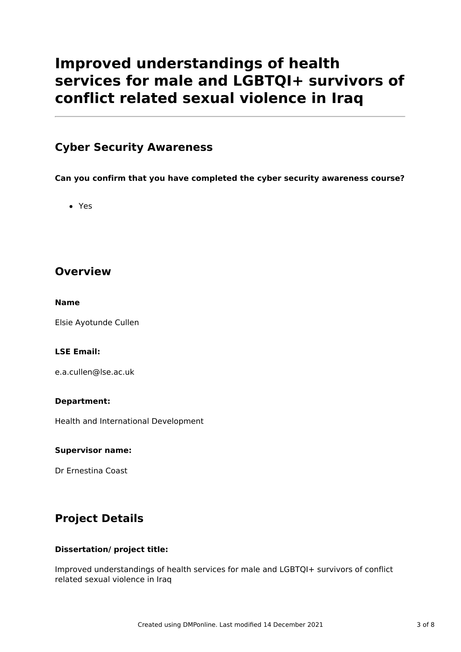# **Improved understandings of health services for male and LGBTQI+ survivors of conflict related sexual violence in Iraq**

### **Cyber Security Awareness**

**Can you confirm that you have completed the cyber security awareness course?**

Yes

## **Overview**

#### **Name**

Elsie Ayotunde Cullen

#### **LSE Email:**

e.a.cullen@lse.ac.uk

#### **Department:**

Health and International Development

#### **Supervisor name:**

Dr Ernestina Coast

# **Project Details**

#### **Dissertation/ project title:**

Improved understandings of health services for male and LGBTQI+ survivors of conflict related sexual violence in Iraq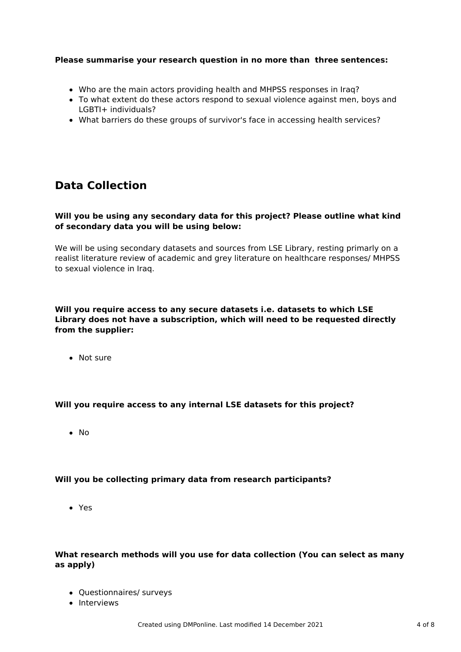#### **Please summarise your research question in no more than three sentences:**

- Who are the main actors providing health and MHPSS responses in Iraq?
- To what extent do these actors respond to sexual violence against men, boys and LGBTI+ individuals?
- What barriers do these groups of survivor's face in accessing health services?

## **Data Collection**

#### **Will you be using any secondary data for this project? Please outline what kind of secondary data you will be using below:**

We will be using secondary datasets and sources from LSE Library, resting primarly on a realist literature review of academic and grey literature on healthcare responses/ MHPSS to sexual violence in Iraq.

#### **Will you require access to any secure datasets i.e. datasets to which LSE Library does not have a subscription, which will need to be requested directly from the supplier:**

• Not sure

#### **Will you require access to any internal LSE datasets for this project?**

• No

#### **Will you be collecting primary data from research participants?**

Yes

#### **What research methods will you use for data collection (You can select as many as apply)**

- Questionnaires/ surveys
- Interviews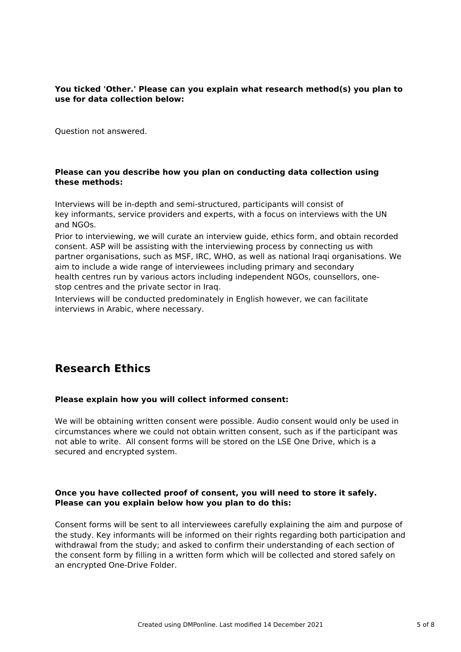#### **You ticked 'Other.' Please can you explain what research method(s) you plan to use for data collection below:**

Question not answered.

#### **Please can you describe how you plan on conducting data collection using these methods:**

Interviews will be in-depth and semi-structured, participants will consist of key informants, service providers and experts, with a focus on interviews with the UN and NGOs.

Prior to interviewing, we will curate an interview guide, ethics form, and obtain recorded consent. ASP will be assisting with the interviewing process by connecting us with partner organisations, such as MSF, IRC, WHO, as well as national Iraqi organisations. We aim to include a wide range of interviewees including primary and secondary health centres run by various actors including independent NGOs, counsellors, onestop centres and the private sector in Iraq.

Interviews will be conducted predominately in English however, we can facilitate interviews in Arabic, where necessary.

# **Research Ethics**

#### **Please explain how you will collect informed consent:**

We will be obtaining written consent were possible. Audio consent would only be used in circumstances where we could not obtain written consent, such as if the participant was not able to write. All consent forms will be stored on the LSE One Drive, which is a secured and encrypted system.

#### **Once you have collected proof of consent, you will need to store it safely. Please can you explain below how you plan to do this:**

Consent forms will be sent to all interviewees carefully explaining the aim and purpose of the study. Key informants will be informed on their rights regarding both participation and withdrawal from the study; and asked to confirm their understanding of each section of the consent form by filling in a written form which will be collected and stored safely on an encrypted One-Drive Folder.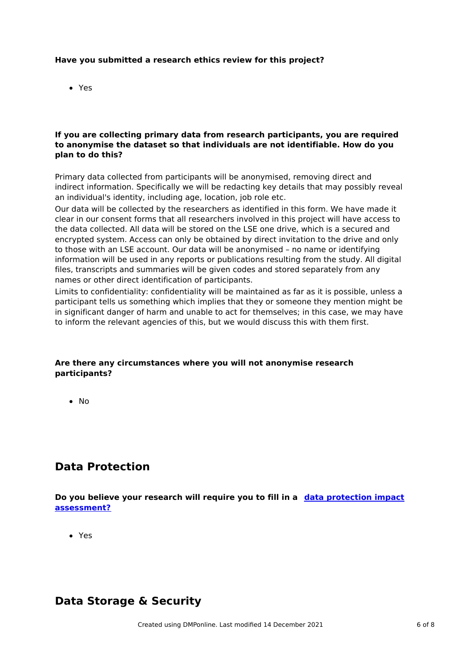#### **Have you submitted a research ethics review for this project?**

Yes

#### **If you are collecting primary data from research participants, you are required to anonymise the dataset so that individuals are not identifiable. How do you plan to do this?**

Primary data collected from participants will be anonymised, removing direct and indirect information. Specifically we will be redacting key details that may possibly reveal an individual's identity, including age, location, job role etc.

Our data will be collected by the researchers as identified in this form. We have made it clear in our consent forms that all researchers involved in this project will have access to the data collected. All data will be stored on the LSE one drive, which is a secured and encrypted system. Access can only be obtained by direct invitation to the drive and only to those with an LSE account. Our data will be anonymised – no name or identifying information will be used in any reports or publications resulting from the study. All digital files, transcripts and summaries will be given codes and stored separately from any names or other direct identification of participants.

Limits to confidentiality: confidentiality will be maintained as far as it is possible, unless a participant tells us something which implies that they or someone they mention might be in significant danger of harm and unable to act for themselves; in this case, we may have to inform the relevant agencies of this, but we would discuss this with them first.

#### **Are there any circumstances where you will not anonymise research participants?**

 $\bullet$  No

### **Data Protection**

**Do you believe your research will require you to fill in a data protection impact [assessment?](https://lsecloud-my.sharepoint.com/:w:/g/personal/r_e_maguire_lse_ac_uk/EeXpIrFm5pFLs6-MP0xCZukBY3CxsYv7lpSL3bW7O5LhWA?e=lI6Dbb)**

Yes

### **Data Storage & Security**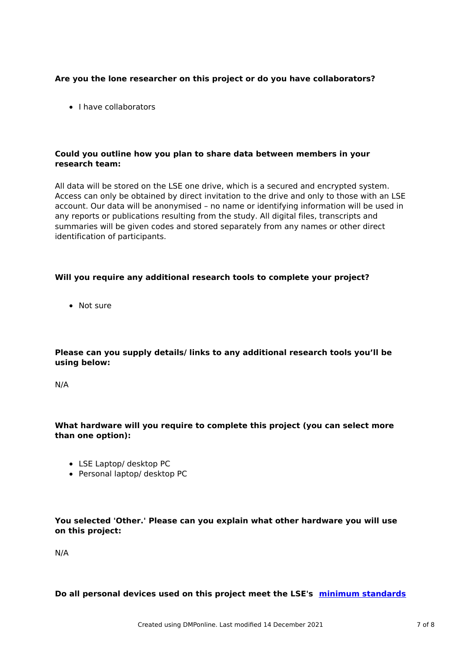#### **Are you the lone researcher on this project or do you have collaborators?**

• I have collaborators

#### **Could you outline how you plan to share data between members in your research team:**

All data will be stored on the LSE one drive, which is a secured and encrypted system. Access can only be obtained by direct invitation to the drive and only to those with an LSE account. Our data will be anonymised – no name or identifying information will be used in any reports or publications resulting from the study. All digital files, transcripts and summaries will be given codes and stored separately from any names or other direct identification of participants.

#### **Will you require any additional research tools to complete your project?**

Not sure

#### **Please can you supply details/ links to any additional research tools you'll be using below:**

N/A

#### **What hardware will you require to complete this project (you can select more than one option):**

- LSE Laptop/ desktop PC
- Personal laptop/ desktop PC

#### **You selected 'Other.' Please can you explain what other hardware you will use on this project:**

N/A

#### **Do all personal devices used on this project meet the LSE's minimum [standards](https://info.lse.ac.uk/account/login?ReturnURL=%2f%2finfo.lse.ac.uk%2fstaff%2fservices%2fPolicies-and-procedures%2fAssets%2fDocuments%2finternal%2fstaffAndStudents%2fdevLevSecMin.pdf)**